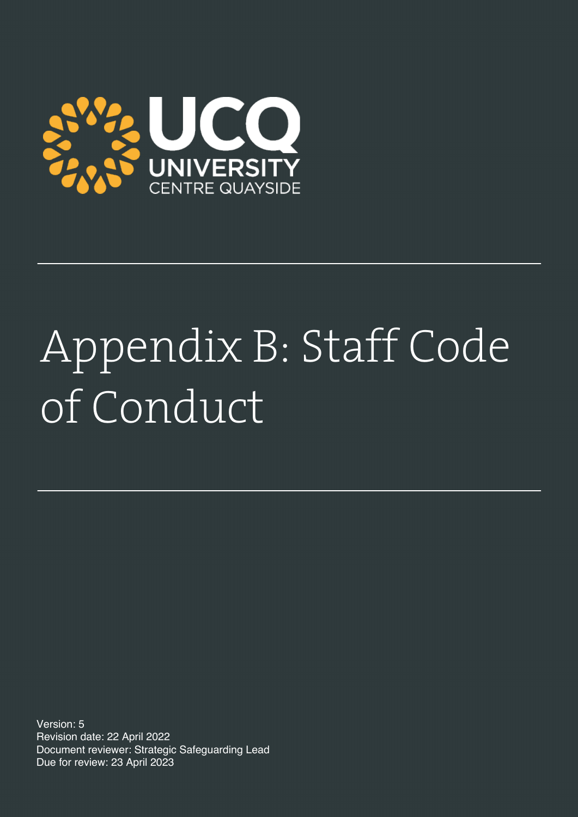

# Appendix B: Staff Code of Conduct

Version: 5 Revision date: 22 April 2022 Document reviewer: Strategic Safeguarding Lead Due for review: 23 April 2023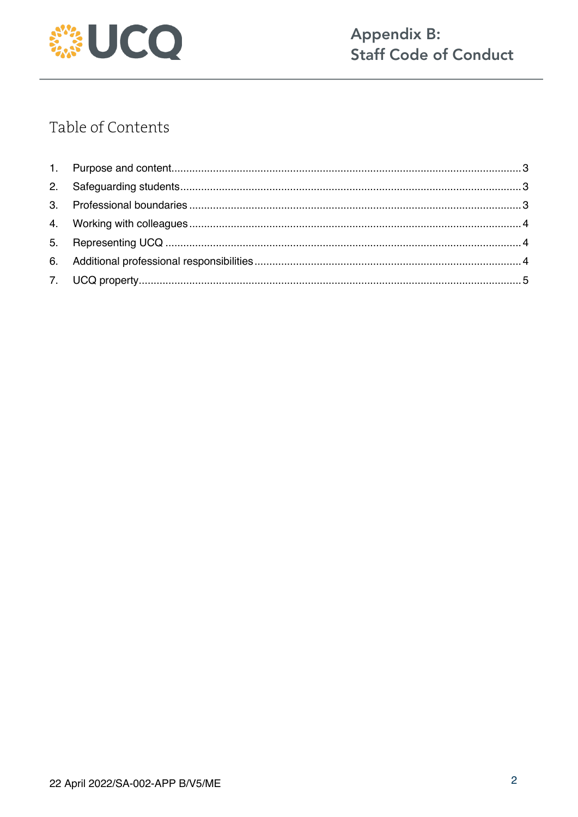

# Table of Contents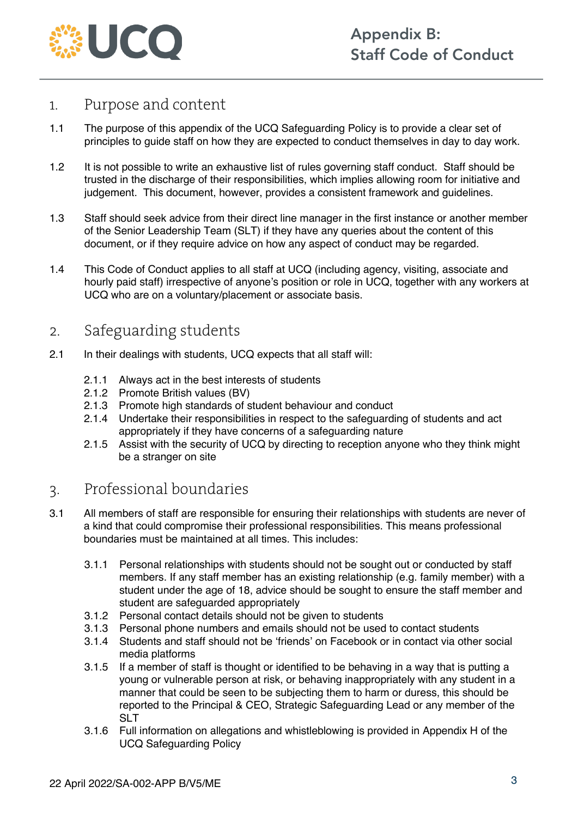

# 1. Purpose and content

- 1.1 The purpose of this appendix of the UCQ Safeguarding Policy is to provide a clear set of principles to guide staff on how they are expected to conduct themselves in day to day work.
- 1.2 It is not possible to write an exhaustive list of rules governing staff conduct. Staff should be trusted in the discharge of their responsibilities, which implies allowing room for initiative and judgement. This document, however, provides a consistent framework and guidelines.
- 1.3 Staff should seek advice from their direct line manager in the first instance or another member of the Senior Leadership Team (SLT) if they have any queries about the content of this document, or if they require advice on how any aspect of conduct may be regarded.
- 1.4 This Code of Conduct applies to all staff at UCQ (including agency, visiting, associate and hourly paid staff) irrespective of anyone's position or role in UCQ, together with any workers at UCQ who are on a voluntary/placement or associate basis.

#### 2. Safeguarding students

- 2.1 In their dealings with students, UCQ expects that all staff will:
	- 2.1.1 Always act in the best interests of students
	- 2.1.2 Promote British values (BV)
	- 2.1.3 Promote high standards of student behaviour and conduct
	- 2.1.4 Undertake their responsibilities in respect to the safeguarding of students and act appropriately if they have concerns of a safeguarding nature
	- 2.1.5 Assist with the security of UCQ by directing to reception anyone who they think might be a stranger on site

#### 3. Professional boundaries

- 3.1 All members of staff are responsible for ensuring their relationships with students are never of a kind that could compromise their professional responsibilities. This means professional boundaries must be maintained at all times. This includes:
	- 3.1.1 Personal relationships with students should not be sought out or conducted by staff members. If any staff member has an existing relationship (e.g. family member) with a student under the age of 18, advice should be sought to ensure the staff member and student are safeguarded appropriately
	- 3.1.2 Personal contact details should not be given to students
	- 3.1.3 Personal phone numbers and emails should not be used to contact students
	- 3.1.4 Students and staff should not be 'friends' on Facebook or in contact via other social media platforms
	- 3.1.5 If a member of staff is thought or identified to be behaving in a way that is putting a young or vulnerable person at risk, or behaving inappropriately with any student in a manner that could be seen to be subjecting them to harm or duress, this should be reported to the Principal & CEO, Strategic Safeguarding Lead or any member of the **SLT**
	- 3.1.6 Full information on allegations and whistleblowing is provided in Appendix H of the UCQ Safeguarding Policy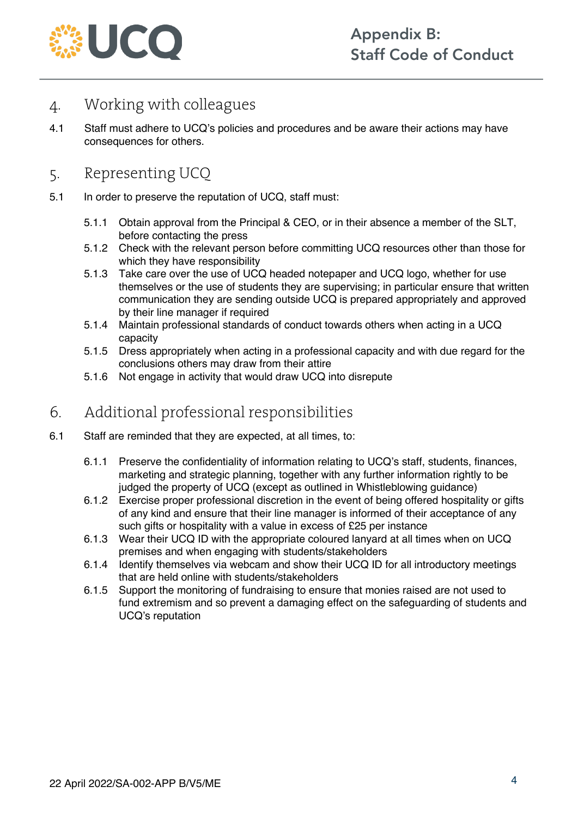

#### 4. Working with colleagues

4.1 Staff must adhere to UCQ's policies and procedures and be aware their actions may have consequences for others.

### 5. Representing UCQ

- 5.1 In order to preserve the reputation of UCQ, staff must:
	- 5.1.1 Obtain approval from the Principal & CEO, or in their absence a member of the SLT, before contacting the press
	- 5.1.2 Check with the relevant person before committing UCQ resources other than those for which they have responsibility
	- 5.1.3 Take care over the use of UCQ headed notepaper and UCQ logo, whether for use themselves or the use of students they are supervising; in particular ensure that written communication they are sending outside UCQ is prepared appropriately and approved by their line manager if required
	- 5.1.4 Maintain professional standards of conduct towards others when acting in a UCQ capacity
	- 5.1.5 Dress appropriately when acting in a professional capacity and with due regard for the conclusions others may draw from their attire
	- 5.1.6 Not engage in activity that would draw UCQ into disrepute

#### 6. Additional professional responsibilities

- 6.1 Staff are reminded that they are expected, at all times, to:
	- 6.1.1 Preserve the confidentiality of information relating to UCQ's staff, students, finances, marketing and strategic planning, together with any further information rightly to be judged the property of UCQ (except as outlined in Whistleblowing guidance)
	- 6.1.2 Exercise proper professional discretion in the event of being offered hospitality or gifts of any kind and ensure that their line manager is informed of their acceptance of any such gifts or hospitality with a value in excess of £25 per instance
	- 6.1.3 Wear their UCQ ID with the appropriate coloured lanyard at all times when on UCQ premises and when engaging with students/stakeholders
	- 6.1.4 Identify themselves via webcam and show their UCQ ID for all introductory meetings that are held online with students/stakeholders
	- 6.1.5 Support the monitoring of fundraising to ensure that monies raised are not used to fund extremism and so prevent a damaging effect on the safeguarding of students and UCQ's reputation